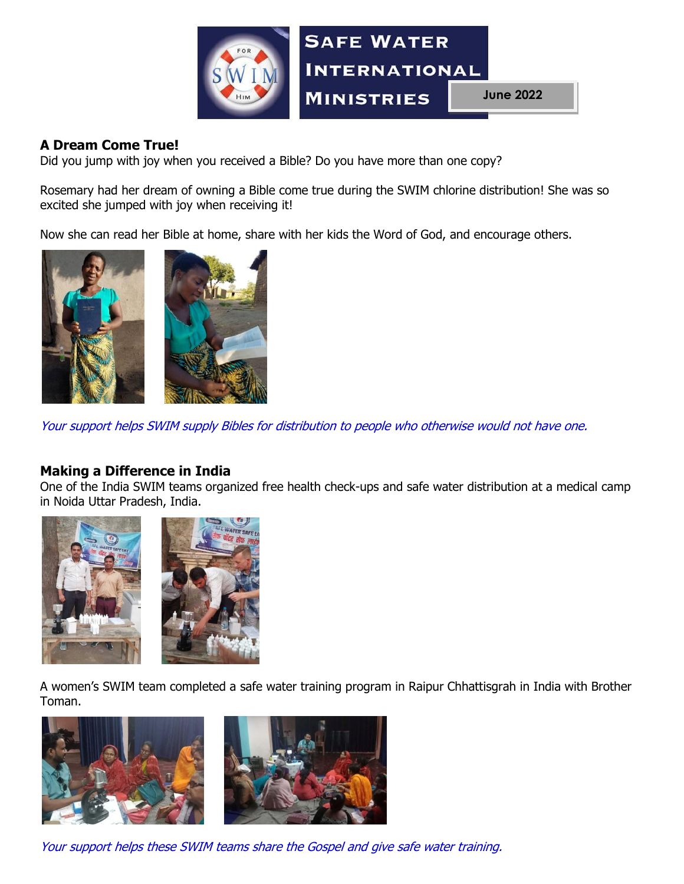

# **A Dream Come True!**

Did you jump with joy when you received a Bible? Do you have more than one copy?

Rosemary had her dream of owning a Bible come true during the SWIM chlorine distribution! She was so excited she jumped with joy when receiving it!

Now she can read her Bible at home, share with her kids the Word of God, and encourage others.



Your support helps SWIM supply Bibles for distribution to people who otherwise would not have one.

#### **Making a Difference in India**

One of the India SWIM teams organized free health check-ups and safe water distribution at a medical camp in Noida Uttar Pradesh, India.





A women's SWIM team completed a safe water training program in Raipur Chhattisgrah in India with Brother Toman.



Your support helps these SWIM teams share the Gospel and give safe water training.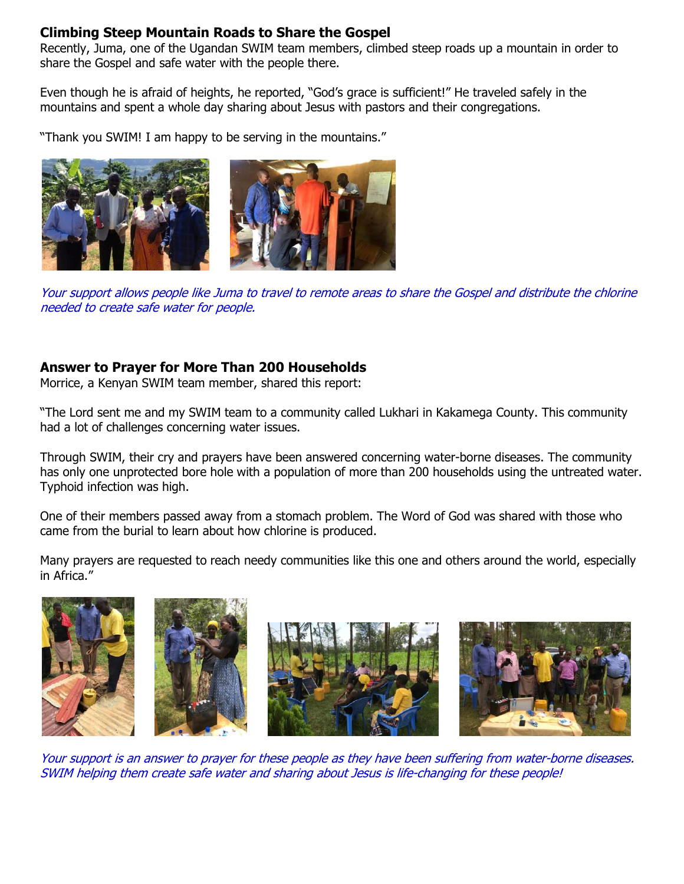### **Climbing Steep Mountain Roads to Share the Gospel**

Recently, Juma, one of the Ugandan SWIM team members, climbed steep roads up a mountain in order to share the Gospel and safe water with the people there.

Even though he is afraid of heights, he reported, "God's grace is sufficient!" He traveled safely in the mountains and spent a whole day sharing about Jesus with pastors and their congregations.

"Thank you SWIM! I am happy to be serving in the mountains."



Your support allows people like Juma to travel to remote areas to share the Gospel and distribute the chlorine needed to create safe water for people.

# **Answer to Prayer for More Than 200 Households**

Morrice, a Kenyan SWIM team member, shared this report:

"The Lord sent me and my SWIM team to a community called Lukhari in Kakamega County. This community had a lot of challenges concerning water issues.

Through SWIM, their cry and prayers have been answered concerning water-borne diseases. The community has only one unprotected bore hole with a population of more than 200 households using the untreated water. Typhoid infection was high.

One of their members passed away from a stomach problem. The Word of God was shared with those who came from the burial to learn about how chlorine is produced.

Many prayers are requested to reach needy communities like this one and others around the world, especially in Africa."









Your support is an answer to prayer for these people as they have been suffering from water-borne diseases. SWIM helping them create safe water and sharing about Jesus is life-changing for these people!